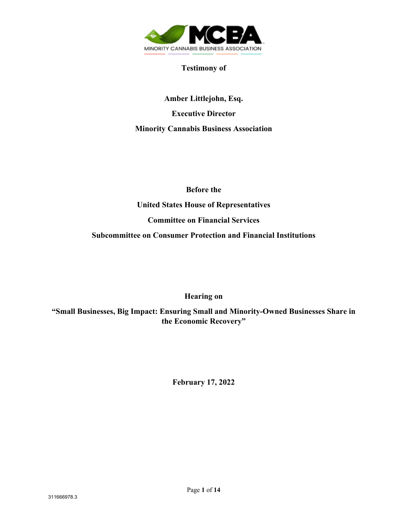

### **Testimony of**

**Amber Littlejohn, Esq. Executive Director Minority Cannabis Business Association**

**Before the** 

**United States House of Representatives**

**Committee on Financial Services**

**Subcommittee on Consumer Protection and Financial Institutions** 

**Hearing on**

**"Small Businesses, Big Impact: Ensuring Small and Minority-Owned Businesses Share in the Economic Recovery"** 

**February 17, 2022**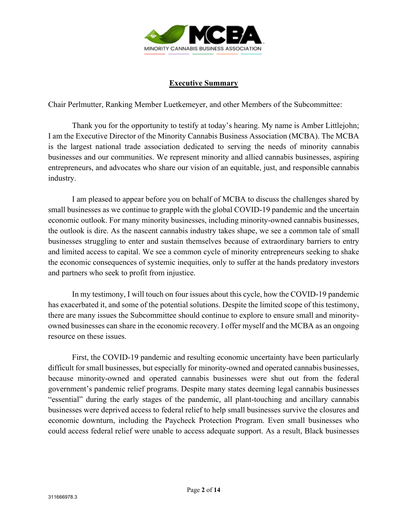

### **Executive Summary**

Chair Perlmutter, Ranking Member Luetkemeyer, and other Members of the Subcommittee:

Thank you for the opportunity to testify at today's hearing. My name is Amber Littlejohn; I am the Executive Director of the Minority Cannabis Business Association (MCBA). The MCBA is the largest national trade association dedicated to serving the needs of minority cannabis businesses and our communities. We represent minority and allied cannabis businesses, aspiring entrepreneurs, and advocates who share our vision of an equitable, just, and responsible cannabis industry.

I am pleased to appear before you on behalf of MCBA to discuss the challenges shared by small businesses as we continue to grapple with the global COVID-19 pandemic and the uncertain economic outlook. For many minority businesses, including minority-owned cannabis businesses, the outlook is dire. As the nascent cannabis industry takes shape, we see a common tale of small businesses struggling to enter and sustain themselves because of extraordinary barriers to entry and limited access to capital. We see a common cycle of minority entrepreneurs seeking to shake the economic consequences of systemic inequities, only to suffer at the hands predatory investors and partners who seek to profit from injustice.

In my testimony, I will touch on four issues about this cycle, how the COVID-19 pandemic has exacerbated it, and some of the potential solutions. Despite the limited scope of this testimony, there are many issues the Subcommittee should continue to explore to ensure small and minorityowned businesses can share in the economic recovery. I offer myself and the MCBA as an ongoing resource on these issues.

First, the COVID-19 pandemic and resulting economic uncertainty have been particularly difficult for small businesses, but especially for minority-owned and operated cannabis businesses, because minority-owned and operated cannabis businesses were shut out from the federal government's pandemic relief programs. Despite many states deeming legal cannabis businesses "essential" during the early stages of the pandemic, all plant-touching and ancillary cannabis businesses were deprived access to federal relief to help small businesses survive the closures and economic downturn, including the Paycheck Protection Program. Even small businesses who could access federal relief were unable to access adequate support. As a result, Black businesses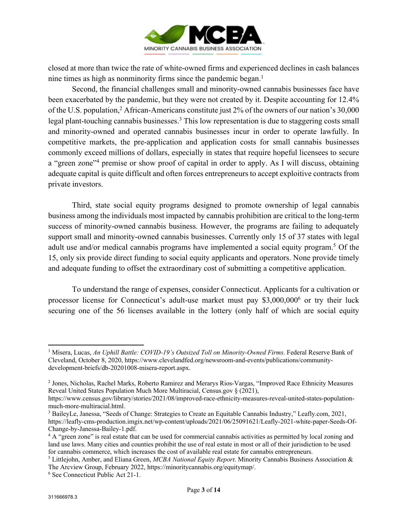

closed at more than twice the rate of white-owned firms and experienced declines in cash balances nine times as high as nonminority firms since the pandemic began.<sup>1</sup>

Second, the financial challenges small and minority-owned cannabis businesses face have been exacerbated by the pandemic, but they were not created by it. Despite accounting for 12.4% of the U.S. population,<sup>2</sup> African-Americans constitute just 2% of the owners of our nation's 30,000 legal plant-touching cannabis businesses.<sup>3</sup> This low representation is due to staggering costs small and minority-owned and operated cannabis businesses incur in order to operate lawfully. In competitive markets, the pre-application and application costs for small cannabis businesses commonly exceed millions of dollars, especially in states that require hopeful licensees to secure a "green zone"<sup>4</sup> premise or show proof of capital in order to apply. As I will discuss, obtaining adequate capital is quite difficult and often forces entrepreneurs to accept exploitive contracts from private investors.

Third, state social equity programs designed to promote ownership of legal cannabis business among the individuals most impacted by cannabis prohibition are critical to the long-term success of minority-owned cannabis business. However, the programs are failing to adequately support small and minority-owned cannabis businesses. Currently only 15 of 37 states with legal adult use and/or medical cannabis programs have implemented a social equity program.<sup>5</sup> Of the 15, only six provide direct funding to social equity applicants and operators. None provide timely and adequate funding to offset the extraordinary cost of submitting a competitive application.

To understand the range of expenses, consider Connecticut. Applicants for a cultivation or processor license for Connecticut's adult-use market must pay \$3,000,0006 or try their luck securing one of the 56 licenses available in the lottery (only half of which are social equity

<sup>1</sup> Misera, Lucas, *An Uphill Battle: COVID-19's Outsized Toll on Minority-Owned Firms*. Federal Reserve Bank of Cleveland, October 8, 2020, https://www.clevelandfed.org/newsroom-and-events/publications/communitydevelopment-briefs/db-20201008-misera-report.aspx.

<sup>2</sup> Jones, Nicholas, Rachel Marks, Roberto Ramirez and Merarys Rios-Vargas, "Improved Race Ethnicity Measures Reveal United States Population Much More Multiracial, Census.gov § (2021),

https://www.census.gov/library/stories/2021/08/improved-race-ethnicity-measures-reveal-united-states-population-

<sup>&</sup>lt;sup>3</sup> BaileyLe, Janessa, "Seeds of Change: Strategies to Create an Equitable Cannabis Industry," Leafly.com, 2021, https://leafly-cms-production.imgix.net/wp-content/uploads/2021/06/25091621/Leafly-2021-white-paper-Seeds-Of-Change-by-Janessa-Bailey-1.pdf.<br> $4 A$  "green zone" is real estate that can be used for commercial cannabis activities as permitted by local zoning and

land use laws. Many cities and counties prohibit the use of real estate in most or all of their jurisdiction to be used for cannabis commerce, which increases the cost of available real estate for cannabis entrepreneurs. 5 Littlejohn, Amber, and Eliana Green, *MCBA National Equity Report*. Minority Cannabis Business Association &

The Arcview Group, February 2022, https://minoritycannabis.org/equitymap/. 6 See Connecticut Public Act 21-1.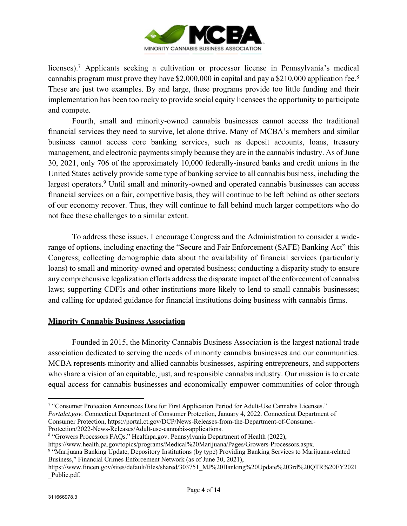

licenses).7 Applicants seeking a cultivation or processor license in Pennsylvania's medical cannabis program must prove they have \$2,000,000 in capital and pay a \$210,000 application fee. 8 These are just two examples. By and large, these programs provide too little funding and their implementation has been too rocky to provide social equity licensees the opportunity to participate and compete.

Fourth, small and minority-owned cannabis businesses cannot access the traditional financial services they need to survive, let alone thrive. Many of MCBA's members and similar business cannot access core banking services, such as deposit accounts, loans, treasury management, and electronic payments simply because they are in the cannabis industry. As of June 30, 2021, only 706 of the approximately 10,000 federally-insured banks and credit unions in the United States actively provide some type of banking service to all cannabis business, including the largest operators.<sup>9</sup> Until small and minority-owned and operated cannabis businesses can access financial services on a fair, competitive basis, they will continue to be left behind as other sectors of our economy recover. Thus, they will continue to fall behind much larger competitors who do not face these challenges to a similar extent.

To address these issues, I encourage Congress and the Administration to consider a widerange of options, including enacting the "Secure and Fair Enforcement (SAFE) Banking Act" this Congress; collecting demographic data about the availability of financial services (particularly loans) to small and minority-owned and operated business; conducting a disparity study to ensure any comprehensive legalization efforts address the disparate impact of the enforcement of cannabis laws; supporting CDFIs and other institutions more likely to lend to small cannabis businesses; and calling for updated guidance for financial institutions doing business with cannabis firms.

## **Minority Cannabis Business Association**

Founded in 2015, the Minority Cannabis Business Association is the largest national trade association dedicated to serving the needs of minority cannabis businesses and our communities. MCBA represents minority and allied cannabis businesses, aspiring entrepreneurs, and supporters who share a vision of an equitable, just, and responsible cannabis industry. Our mission is to create equal access for cannabis businesses and economically empower communities of color through

Consumer Protection, https://portal.ct.gov/DCP/News-Releases-from-the-Department-of-Consumer-Protection/2022-News-Releases/Adult-use-cannabis-applications.

<sup>7</sup> "Consumer Protection Announces Date for First Application Period for Adult-Use Cannabis Licenses." *Portalct.gov*. Connecticut Department of Consumer Protection, January 4, 2022. Connecticut Department of

<sup>8</sup> "Growers Processors FAQs." Healthpa.gov. Pennsylvania Department of Health (2022),

https://www.health.pa.gov/topics/programs/Medical%20Marijuana/Pages/Growers-Processors.aspx. 9 "Marijuana Banking Update, Depository Institutions (by type) Providing Banking Services to Marijuana-related Business," Financial Crimes Enforcement Network (as of June 30, 2021),

https://www.fincen.gov/sites/default/files/shared/303751\_MJ%20Banking%20Update%203rd%20QTR%20FY2021 \_Public.pdf.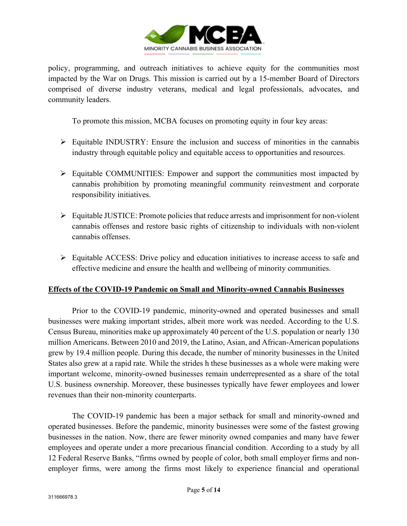

policy, programming, and outreach initiatives to achieve equity for the communities most impacted by the War on Drugs. This mission is carried out by a 15-member Board of Directors comprised of diverse industry veterans, medical and legal professionals, advocates, and community leaders.

To promote this mission, MCBA focuses on promoting equity in four key areas:

- $\triangleright$  Equitable INDUSTRY: Ensure the inclusion and success of minorities in the cannabis industry through equitable policy and equitable access to opportunities and resources.
- Ø Equitable COMMUNITIES: Empower and support the communities most impacted by cannabis prohibition by promoting meaningful community reinvestment and corporate responsibility initiatives.
- $\triangleright$  Equitable JUSTICE: Promote policies that reduce arrests and imprisonment for non-violent cannabis offenses and restore basic rights of citizenship to individuals with non-violent cannabis offenses.
- $\triangleright$  Equitable ACCESS: Drive policy and education initiatives to increase access to safe and effective medicine and ensure the health and wellbeing of minority communities.

#### **Effects of the COVID-19 Pandemic on Small and Minority-owned Cannabis Businesses**

Prior to the COVID-19 pandemic, minority-owned and operated businesses and small businesses were making important strides, albeit more work was needed. According to the U.S. Census Bureau, minorities make up approximately 40 percent of the U.S. population or nearly 130 million Americans. Between 2010 and 2019, the Latino, Asian, and African-American populations grew by 19.4 million people. During this decade, the number of minority businesses in the United States also grew at a rapid rate. While the strides h these businesses as a whole were making were important welcome, minority-owned businesses remain underrepresented as a share of the total U.S. business ownership. Moreover, these businesses typically have fewer employees and lower revenues than their non-minority counterparts.

The COVID-19 pandemic has been a major setback for small and minority-owned and operated businesses. Before the pandemic, minority businesses were some of the fastest growing businesses in the nation. Now, there are fewer minority owned companies and many have fewer employees and operate under a more precarious financial condition. According to a study by all 12 Federal Reserve Banks, "firms owned by people of color, both small employer firms and nonemployer firms, were among the firms most likely to experience financial and operational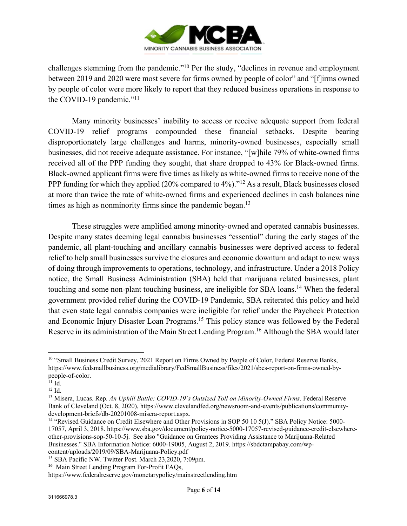

challenges stemming from the pandemic."10 Per the study, "declines in revenue and employment between 2019 and 2020 were most severe for firms owned by people of color" and "[f]irms owned by people of color were more likely to report that they reduced business operations in response to the COVID-19 pandemic."<sup>11</sup>

Many minority businesses' inability to access or receive adequate support from federal COVID-19 relief programs compounded these financial setbacks. Despite bearing disproportionately large challenges and harms, minority-owned businesses, especially small businesses, did not receive adequate assistance. For instance, "[w]hile 79% of white-owned firms received all of the PPP funding they sought, that share dropped to 43% for Black-owned firms. Black-owned applicant firms were five times as likely as white-owned firms to receive none of the PPP funding for which they applied (20% compared to 4%)."12 As a result, Black businesses closed at more than twice the rate of white-owned firms and experienced declines in cash balances nine times as high as nonminority firms since the pandemic began.<sup>13</sup>

These struggles were amplified among minority-owned and operated cannabis businesses. Despite many states deeming legal cannabis businesses "essential" during the early stages of the pandemic, all plant-touching and ancillary cannabis businesses were deprived access to federal relief to help small businesses survive the closures and economic downturn and adapt to new ways of doing through improvements to operations, technology, and infrastructure. Under a 2018 Policy notice, the Small Business Administration (SBA) held that marijuana related businesses, plant touching and some non-plant touching business, are ineligible for SBA loans.14 When the federal government provided relief during the COVID-19 Pandemic, SBA reiterated this policy and held that even state legal cannabis companies were ineligible for relief under the Paycheck Protection and Economic Injury Disaster Loan Programs.<sup>15</sup> This policy stance was followed by the Federal Reserve in its administration of the Main Street Lending Program.16 Although the SBA would later

<sup>&</sup>lt;sup>10</sup> "Small Business Credit Survey, 2021 Report on Firms Owned by People of Color, Federal Reserve Banks, https://www.fedsmallbusiness.org/medialibrary/FedSmallBusiness/files/2021/sbcs-report-on-firms-owned-bypeople-of-color.

 $11$  Id.

<sup>12</sup> Id.

<sup>13</sup> Misera, Lucas. Rep. *An Uphill Battle: COVID-19's Outsized Toll on Minority-Owned Firms*. Federal Reserve Bank of Cleveland (Oct. 8, 2020), https://www.clevelandfed.org/newsroom-and-events/publications/communitydevelopment-briefs/db-20201008-misera-report.aspx.<br><sup>14</sup> "Revised Guidance on Credit Elsewhere and Other Provisions in SOP 50 10 5(J)." SBA Policy Notice: 5000-

<sup>17057,</sup> April 3, 2018. https://www.sba.gov/document/policy-notice-5000-17057-revised-guidance-credit-elsewhereother-provisions-sop-50-10-5j. See also "Guidance on Grantees Providing Assistance to Marijuana-Related Businesses." SBA Information Notice: 6000-19005, August 2, 2019. https://sbdctampabay.com/wpcontent/uploads/2019/09/SBA-Marijuana-Policy.pdf

<sup>&</sup>lt;sup>15</sup> SBA Pacific NW. Twitter Post. March 23,2020, 7:09pm.

**<sup>16</sup>** Main Street Lending Program For-Profit FAQs,

https://www.federalreserve.gov/monetarypolicy/mainstreetlending.htm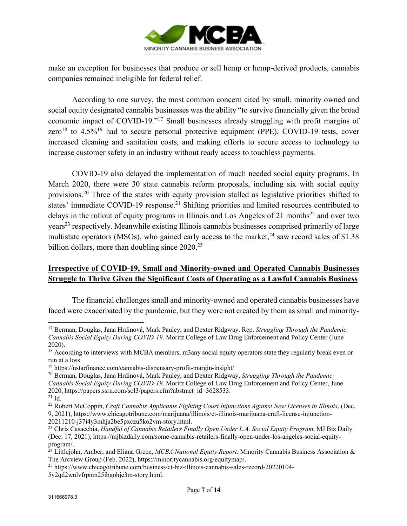

make an exception for businesses that produce or sell hemp or hemp-derived products, cannabis companies remained ineligible for federal relief.

According to one survey, the most common concern cited by small, minority owned and social equity designated cannabis businesses was the ability "to survive financially given the broad economic impact of COVID-19."17 Small businesses already struggling with profit margins of zero<sup>18</sup> to  $4.5\%$ <sup>19</sup> had to secure personal protective equipment (PPE), COVID-19 tests, cover increased cleaning and sanitation costs, and making efforts to secure access to technology to increase customer safety in an industry without ready access to touchless payments.

COVID-19 also delayed the implementation of much needed social equity programs. In March 2020, there were 30 state cannabis reform proposals, including six with social equity provisions.20 Three of the states with equity provision stalled as legislative priorities shifted to states' immediate COVID-19 response.<sup>21</sup> Shifting priorities and limited resources contributed to delays in the rollout of equity programs in Illinois and Los Angeles of 21 months<sup>22</sup> and over two years<sup>23</sup> respectively. Meanwhile existing Illinois cannabis businesses comprised primarily of large multistate operators (MSOs), who gained early access to the market,  $24$  saw record sales of \$1.38 billion dollars, more than doubling since 2020.<sup>25</sup>

## **Irrespective of COVID-19, Small and Minority-owned and Operated Cannabis Businesses Struggle to Thrive Given the Significant Costs of Operating as a Lawful Cannabis Business**

The financial challenges small and minority-owned and operated cannabis businesses have faced were exacerbated by the pandemic, but they were not created by them as small and minority-

<sup>17</sup> Berman, Douglas, Jana Hrdinová, Mark Pauley, and Dexter Ridgway. Rep. *Struggling Through the Pandemic: Cannabis Social Equity During COVID-19*. Moritz College of Law Drug Enforcement and Policy Center (June 2020).

<sup>&</sup>lt;sup>18</sup> According to interviews with MCBA members, m3any social equity operators state they regularly break even or run at a loss.

<sup>19</sup> https://nstarfinance.com/cannabis-dispensary-profit-margin-insight/

<sup>20</sup> Berman, Douglas, Jana Hrdinová, Mark Pauley, and Dexter Ridgway, *Struggling Through the Pandemic: Cannabis Social Equity During COVID-19*. Moritz College of Law Drug Enforcement and Policy Center, June 2020, https://papers.ssrn.com/sol3/papers.cfm?abstract\_id=3628533.

<sup>&</sup>lt;sup>21</sup> Id.<br><sup>22</sup> Robert McCoppin, *Craft Cannabis Applicants Fighting Court Injunctions Against New Licenses in Illinois, (Dec.* 9, 2021), https://www.chicagotribune.com/marijuana/illinois/ct-illinois-marijuana-craft-license-injunction-20211210-j37i4y3mhja2be5pxczu5ko2vm-story.html. 23 Chris Casacchia, *Handful of Cannabis Retailers Finally Open Under L.A. Social Equity Program*, MJ Biz Daily

<sup>(</sup>Dec. 17, 2021), https://mjbizdaily.com/some-cannabis-retailers-finally-open-under-los-angeles-social-equityprogram/.

<sup>24</sup> Littlejohn, Amber, and Eliana Green, *MCBA National Equity Report*. Minority Cannabis Business Association & The Arcview Group (Feb. 2022), https://minoritycannabis.org/equitymap/.

<sup>25</sup> https://www.chicagotribune.com/business/ct-biz-illinois-cannabis-sales-record-20220104-

<sup>5</sup>y2qd2wnlvfrpnm25ibgohje3m-story.html.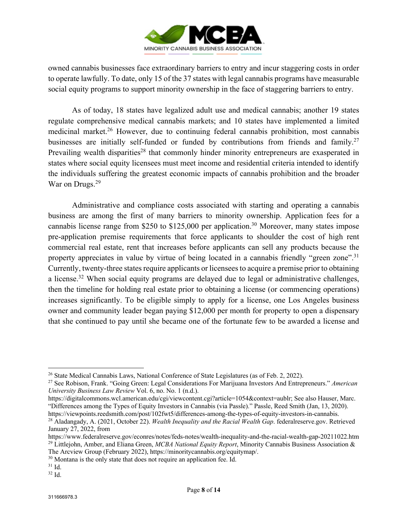

owned cannabis businesses face extraordinary barriers to entry and incur staggering costs in order to operate lawfully. To date, only 15 of the 37 states with legal cannabis programs have measurable social equity programs to support minority ownership in the face of staggering barriers to entry.

As of today, 18 states have legalized adult use and medical cannabis; another 19 states regulate comprehensive medical cannabis markets; and 10 states have implemented a limited medicinal market.<sup>26</sup> However, due to continuing federal cannabis prohibition, most cannabis businesses are initially self-funded or funded by contributions from friends and family.<sup>27</sup> Prevailing wealth disparities<sup>28</sup> that commonly hinder minority entrepreneurs are exasperated in states where social equity licensees must meet income and residential criteria intended to identify the individuals suffering the greatest economic impacts of cannabis prohibition and the broader War on Drugs.<sup>29</sup>

Administrative and compliance costs associated with starting and operating a cannabis business are among the first of many barriers to minority ownership. Application fees for a cannabis license range from \$250 to \$125,000 per application.<sup>30</sup> Moreover, many states impose pre-application premise requirements that force applicants to shoulder the cost of high rent commercial real estate, rent that increases before applicants can sell any products because the property appreciates in value by virtue of being located in a cannabis friendly "green zone".<sup>31</sup> Currently, twenty-three states require applicants or licensees to acquire a premise prior to obtaining a license.<sup>32</sup> When social equity programs are delayed due to legal or administrative challenges, then the timeline for holding real estate prior to obtaining a license (or commencing operations) increases significantly. To be eligible simply to apply for a license, one Los Angeles business owner and community leader began paying \$12,000 per month for property to open a dispensary that she continued to pay until she became one of the fortunate few to be awarded a license and

<sup>&</sup>lt;sup>26</sup> State Medical Cannabis Laws, National Conference of State Legislatures (as of Feb. 2, 2022).<br><sup>27</sup> See Robison, Frank. "Going Green: Legal Considerations For Marijuana Investors And Entrepreneurs." *American University Business Law Review* Vol. 6, no. No. 1 (n.d.).

https://digitalcommons.wcl.american.edu/cgi/viewcontent.cgi?article=1054&context=aublr; See also Hauser, Marc. "Differences among the Types of Equity Investors in Cannabis (via Passle)." Passle, Reed Smith (Jan, 13, 2020).

https://viewpoints.reedsmith.com/post/102fwt5/differences-among-the-types-of-equity-investors-in-cannabis.<br><sup>28</sup> Aladangady, A. (2021, October 22). Wealth Inequality and the Racial Wealth Gap. federal reserve.gov. Retrieved January 27, 2022, from

https://www.federalreserve.gov/econres/notes/feds-notes/wealth-inequality-and-the-racial-wealth-gap-20211022.htm <sup>29</sup> Littlejohn, Amber, and Eliana Green, *MCBA National Equity Report*, Minority Cannabis Business Association &

The Arcview Group (February 2022), https://minoritycannabis.org/equitymap/. <sup>30</sup> Montana is the only state that does not require an application fee. Id. <sup>31</sup> Id.

<sup>32</sup> Id.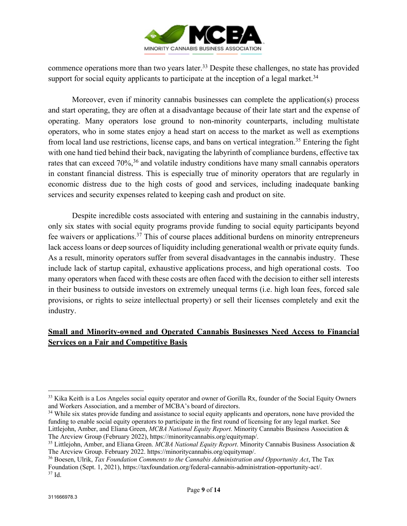

commence operations more than two years later.<sup>33</sup> Despite these challenges, no state has provided support for social equity applicants to participate at the inception of a legal market.<sup>34</sup>

Moreover, even if minority cannabis businesses can complete the application(s) process and start operating, they are often at a disadvantage because of their late start and the expense of operating. Many operators lose ground to non-minority counterparts, including multistate operators, who in some states enjoy a head start on access to the market as well as exemptions from local land use restrictions, license caps, and bans on vertical integration.35 Entering the fight with one hand tied behind their back, navigating the labyrinth of compliance burdens, effective tax rates that can exceed 70%,<sup>36</sup> and volatile industry conditions have many small cannabis operators in constant financial distress. This is especially true of minority operators that are regularly in economic distress due to the high costs of good and services, including inadequate banking services and security expenses related to keeping cash and product on site.

Despite incredible costs associated with entering and sustaining in the cannabis industry, only six states with social equity programs provide funding to social equity participants beyond fee waivers or applications.37 This of course places additional burdens on minority entrepreneurs lack access loans or deep sources of liquidity including generational wealth or private equity funds. As a result, minority operators suffer from several disadvantages in the cannabis industry. These include lack of startup capital, exhaustive applications process, and high operational costs. Too many operators when faced with these costs are often faced with the decision to either sell interests in their business to outside investors on extremely unequal terms (i.e. high loan fees, forced sale provisions, or rights to seize intellectual property) or sell their licenses completely and exit the industry.

# **Small and Minority-owned and Operated Cannabis Businesses Need Access to Financial Services on a Fair and Competitive Basis**

<sup>&</sup>lt;sup>33</sup> Kika Keith is a Los Angeles social equity operator and owner of Gorilla Rx, founder of the Social Equity Owners and Workers Association, and a member of MCBA's board of directors.

<sup>&</sup>lt;sup>34</sup> While six states provide funding and assistance to social equity applicants and operators, none have provided the funding to enable social equity operators to participate in the first round of licensing for any legal market. See Littlejohn, Amber, and Eliana Green, *MCBA National Equity Report*. Minority Cannabis Business Association & The Arcview Group (February 2022), https://minoritycannabis.org/equitymap/.

<sup>35</sup> Littlejohn, Amber, and Eliana Green. *MCBA National Equity Report*. Minority Cannabis Business Association & The Arcview Group. February 2022. https://minoritycannabis.org/equitymap/.

<sup>36</sup> Boesen, Ulrik, *Tax Foundation Comments to the Cannabis Administration and Opportunity Act*, The Tax Foundation (Sept. 1, 2021), https://taxfoundation.org/federal-cannabis-administration-opportunity-act/. 37 Id.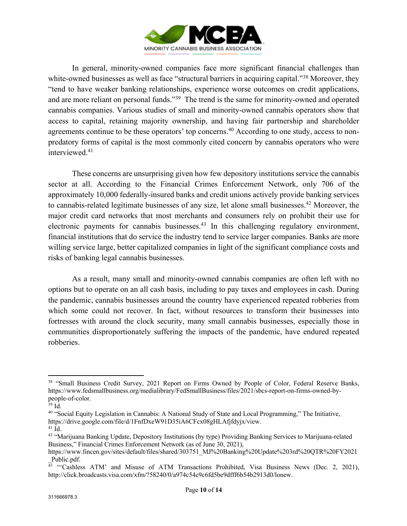

In general, minority-owned companies face more significant financial challenges than white-owned businesses as well as face "structural barriers in acquiring capital."<sup>38</sup> Moreover, they "tend to have weaker banking relationships, experience worse outcomes on credit applications, and are more reliant on personal funds."<sup>39</sup> The trend is the same for minority-owned and operated cannabis companies. Various studies of small and minority-owned cannabis operators show that access to capital, retaining majority ownership, and having fair partnership and shareholder agreements continue to be these operators' top concerns.<sup>40</sup> According to one study, access to nonpredatory forms of capital is the most commonly cited concern by cannabis operators who were interviewed.41

These concerns are unsurprising given how few depository institutions service the cannabis sector at all. According to the Financial Crimes Enforcement Network, only 706 of the approximately 10,000 federally-insured banks and credit unions actively provide banking services to cannabis-related legitimate businesses of any size, let alone small businesses.<sup>42</sup> Moreover, the major credit card networks that most merchants and consumers rely on prohibit their use for electronic payments for cannabis businesses.<sup>43</sup> In this challenging regulatory environment, financial institutions that do service the industry tend to service larger companies. Banks are more willing service large, better capitalized companies in light of the significant compliance costs and risks of banking legal cannabis businesses.

As a result, many small and minority-owned cannabis companies are often left with no options but to operate on an all cash basis, including to pay taxes and employees in cash. During the pandemic, cannabis businesses around the country have experienced repeated robberies from which some could not recover. In fact, without resources to transform their businesses into fortresses with around the clock security, many small cannabis businesses, especially those in communities disproportionately suffering the impacts of the pandemic, have endured repeated robberies.

<sup>&</sup>lt;sup>38</sup> "Small Business Credit Survey, 2021 Report on Firms Owned by People of Color, Federal Reserve Banks, https://www.fedsmallbusiness.org/medialibrary/FedSmallBusiness/files/2021/sbcs-report-on-firms-owned-bypeople-of-color. 39 Id.

<sup>40</sup> "Social Equity Legislation in Cannabis: A National Study of State and Local Programming," The Initiative, https://drive.google.com/file/d/1FnfDxeW91D35iA6CFcx08gHLAfjfdyjx/view.

<sup>&</sup>lt;sup>42</sup> "Marijuana Banking Update, Depository Institutions (by type) Providing Banking Services to Marijuana-related Business," Financial Crimes Enforcement Network (as of June 30, 2021),

https://www.fincen.gov/sites/default/files/shared/303751\_MJ%20Banking%20Update%203rd%20QTR%20FY2021 \_Public.pdf.

<sup>&</sup>lt;sup>43</sup> "Cashless ATM' and Misuse of ATM Transactions Prohibited, Visa Business News (Dec. 2, 2021), http://click.broadcasts.visa.com/xfm/?58240/0/a974c54c9c6fd5be9dfff6b54b2913d0/lonew.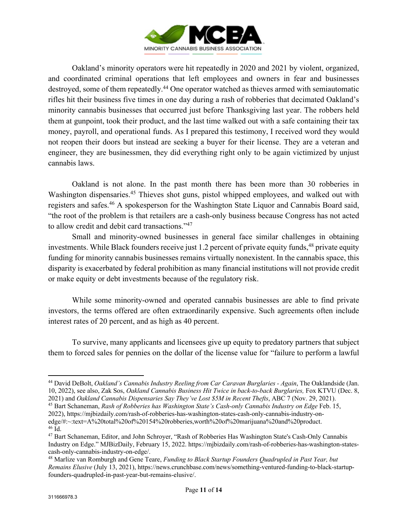

Oakland's minority operators were hit repeatedly in 2020 and 2021 by violent, organized, and coordinated criminal operations that left employees and owners in fear and businesses destroyed, some of them repeatedly.<sup>44</sup> One operator watched as thieves armed with semiautomatic rifles hit their business five times in one day during a rash of robberies that decimated Oakland's minority cannabis businesses that occurred just before Thanksgiving last year. The robbers held them at gunpoint, took their product, and the last time walked out with a safe containing their tax money, payroll, and operational funds. As I prepared this testimony, I received word they would not reopen their doors but instead are seeking a buyer for their license. They are a veteran and engineer, they are businessmen, they did everything right only to be again victimized by unjust cannabis laws.

Oakland is not alone. In the past month there has been more than 30 robberies in Washington dispensaries.<sup>45</sup> Thieves shot guns, pistol whipped employees, and walked out with registers and safes.46 A spokesperson for the Washington State Liquor and Cannabis Board said, "the root of the problem is that retailers are a cash-only business because Congress has not acted to allow credit and debit card transactions."47

Small and minority-owned businesses in general face similar challenges in obtaining investments. While Black founders receive just 1.2 percent of private equity funds,<sup>48</sup> private equity funding for minority cannabis businesses remains virtually nonexistent. In the cannabis space, this disparity is exacerbated by federal prohibition as many financial institutions will not provide credit or make equity or debt investments because of the regulatory risk.

While some minority-owned and operated cannabis businesses are able to find private investors, the terms offered are often extraordinarily expensive. Such agreements often include interest rates of 20 percent, and as high as 40 percent.

To survive, many applicants and licensees give up equity to predatory partners that subject them to forced sales for pennies on the dollar of the license value for "failure to perform a lawful

<sup>44</sup> David DeBolt, *Oakland's Cannabis Industry Reeling from Car Caravan Burglaries - Again*, The Oaklandside (Jan. 10, 2022), see also, Zak Sos, *Oakland Cannabis Business Hit Twice in back-to-back Burglaries,* Fox KTVU (Dec. 8, 2021) and *Oakland Cannabis Dispensaries Say They've Lost \$5M in Recent Thefts*, ABC 7 (Nov. 29, 2021).

<sup>45</sup> Bart Schaneman, *Rash of Robberies has Washington State's Cash-only Cannabis Industry on Edge* Feb. 15, 2022), https://mjbizdaily.com/rash-of-robberies-has-washington-states-cash-only-cannabis-industry-onedge/#:~:text=A%20total%20of%20154%20robberies,worth%20of%20marijuana%20and%20product.

<sup>&</sup>lt;sup>47</sup> Bart Schaneman, Editor, and John Schroyer, "Rash of Robberies Has Washington State's Cash-Only Cannabis Industry on Edge." MJBizDaily, February 15, 2022. https://mjbizdaily.com/rash-of-robberies-has-washington-statescash-only-cannabis-industry-on-edge/.

<sup>48</sup> Marlize van Romburgh and Gene Teare, *Funding to Black Startup Founders Quadrupled in Past Year, but Remains Elusive* (July 13, 2021), https://news.crunchbase.com/news/something-ventured-funding-to-black-startupfounders-quadrupled-in-past-year-but-remains-elusive/.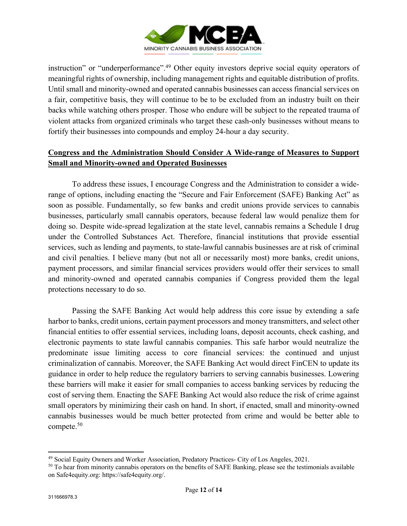

instruction" or "underperformance".49 Other equity investors deprive social equity operators of meaningful rights of ownership, including management rights and equitable distribution of profits. Until small and minority-owned and operated cannabis businesses can access financial services on a fair, competitive basis, they will continue to be to be excluded from an industry built on their backs while watching others prosper. Those who endure will be subject to the repeated trauma of violent attacks from organized criminals who target these cash-only businesses without means to fortify their businesses into compounds and employ 24-hour a day security.

# **Congress and the Administration Should Consider A Wide-range of Measures to Support Small and Minority-owned and Operated Businesses**

To address these issues, I encourage Congress and the Administration to consider a widerange of options, including enacting the "Secure and Fair Enforcement (SAFE) Banking Act" as soon as possible. Fundamentally, so few banks and credit unions provide services to cannabis businesses, particularly small cannabis operators, because federal law would penalize them for doing so. Despite wide-spread legalization at the state level, cannabis remains a Schedule I drug under the Controlled Substances Act. Therefore, financial institutions that provide essential services, such as lending and payments, to state-lawful cannabis businesses are at risk of criminal and civil penalties. I believe many (but not all or necessarily most) more banks, credit unions, payment processors, and similar financial services providers would offer their services to small and minority-owned and operated cannabis companies if Congress provided them the legal protections necessary to do so.

Passing the SAFE Banking Act would help address this core issue by extending a safe harbor to banks, credit unions, certain payment processors and money transmitters, and select other financial entities to offer essential services, including loans, deposit accounts, check cashing, and electronic payments to state lawful cannabis companies. This safe harbor would neutralize the predominate issue limiting access to core financial services: the continued and unjust criminalization of cannabis. Moreover, the SAFE Banking Act would direct FinCEN to update its guidance in order to help reduce the regulatory barriers to serving cannabis businesses. Lowering these barriers will make it easier for small companies to access banking services by reducing the cost of serving them. Enacting the SAFE Banking Act would also reduce the risk of crime against small operators by minimizing their cash on hand. In short, if enacted, small and minority-owned cannabis businesses would be much better protected from crime and would be better able to compete.50

 $49$  Social Equity Owners and Worker Association, Predatory Practices- City of Los Angeles, 2021.<br><sup>50</sup> To hear from minority cannabis operators on the benefits of SAFE Banking, please see the testimonials available on Safe4equity.org: https://safe4equity.org/.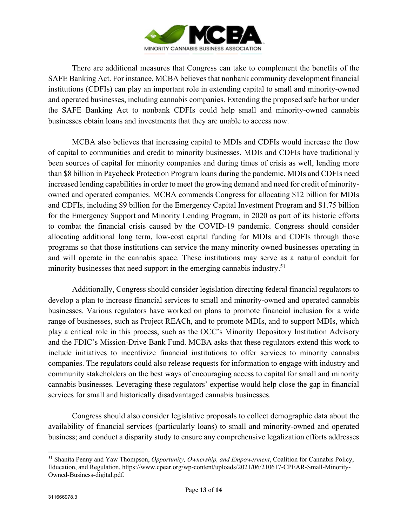

There are additional measures that Congress can take to complement the benefits of the SAFE Banking Act. For instance, MCBA believes that nonbank community development financial institutions (CDFIs) can play an important role in extending capital to small and minority-owned and operated businesses, including cannabis companies. Extending the proposed safe harbor under the SAFE Banking Act to nonbank CDFIs could help small and minority-owned cannabis businesses obtain loans and investments that they are unable to access now.

MCBA also believes that increasing capital to MDIs and CDFIs would increase the flow of capital to communities and credit to minority businesses. MDIs and CDFIs have traditionally been sources of capital for minority companies and during times of crisis as well, lending more than \$8 billion in Paycheck Protection Program loans during the pandemic. MDIs and CDFIs need increased lending capabilities in order to meet the growing demand and need for credit of minorityowned and operated companies. MCBA commends Congress for allocating \$12 billion for MDIs and CDFIs, including \$9 billion for the Emergency Capital Investment Program and \$1.75 billion for the Emergency Support and Minority Lending Program, in 2020 as part of its historic efforts to combat the financial crisis caused by the COVID-19 pandemic. Congress should consider allocating additional long term, low-cost capital funding for MDIs and CDFIs through those programs so that those institutions can service the many minority owned businesses operating in and will operate in the cannabis space. These institutions may serve as a natural conduit for minority businesses that need support in the emerging cannabis industry.<sup>51</sup>

Additionally, Congress should consider legislation directing federal financial regulators to develop a plan to increase financial services to small and minority-owned and operated cannabis businesses. Various regulators have worked on plans to promote financial inclusion for a wide range of businesses, such as Project REACh, and to promote MDIs, and to support MDIs, which play a critical role in this process, such as the OCC's Minority Depository Institution Advisory and the FDIC's Mission-Drive Bank Fund. MCBA asks that these regulators extend this work to include initiatives to incentivize financial institutions to offer services to minority cannabis companies. The regulators could also release requests for information to engage with industry and community stakeholders on the best ways of encouraging access to capital for small and minority cannabis businesses. Leveraging these regulators' expertise would help close the gap in financial services for small and historically disadvantaged cannabis businesses.

Congress should also consider legislative proposals to collect demographic data about the availability of financial services (particularly loans) to small and minority-owned and operated business; and conduct a disparity study to ensure any comprehensive legalization efforts addresses

<sup>51</sup> Shanita Penny and Yaw Thompson, *Opportunity, Ownership, and Empowerment*, Coalition for Cannabis Policy, Education, and Regulation, https://www.cpear.org/wp-content/uploads/2021/06/210617-CPEAR-Small-Minority-Owned-Business-digital.pdf.